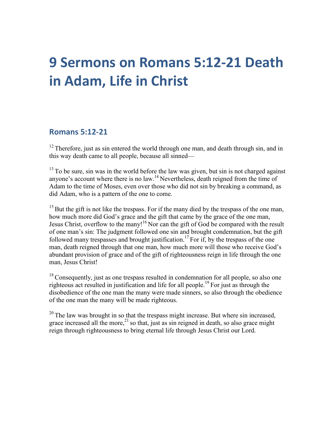# **9 Sermons on Romans 5:12-21 Death in Adam, Life in Christ**

#### **Romans 5:12-21**

 $12$  Therefore, just as sin entered the world through one man, and death through sin, and in this way death came to all people, because all sinned—

 $13$  To be sure, sin was in the world before the law was given, but sin is not charged against anyone's account where there is no  $law$ <sup>14</sup>. Nevertheless, death reigned from the time of Adam to the time of Moses, even over those who did not sin by breaking a command, as did Adam, who is a pattern of the one to come.

 $15$  But the gift is not like the trespass. For if the many died by the trespass of the one man, how much more did God's grace and the gift that came by the grace of the one man, Jesus Christ, overflow to the many!<sup>16</sup> Nor can the gift of God be compared with the result of one man's sin: The judgment followed one sin and brought condemnation, but the gift followed many trespasses and brought justification.<sup>17</sup> For if, by the trespass of the one man, death reigned through that one man, how much more will those who receive God's abundant provision of grace and of the gift of righteousness reign in life through the one man, Jesus Christ!

 $18$  Consequently, just as one trespass resulted in condemnation for all people, so also one righteous act resulted in justification and life for all people.19 For just as through the disobedience of the one man the many were made sinners, so also through the obedience of the one man the many will be made righteous.

 $20$  The law was brought in so that the trespass might increase. But where sin increased, grace increased all the more,<sup>21</sup> so that, just as sin reigned in death, so also grace might reign through righteousness to bring eternal life through Jesus Christ our Lord.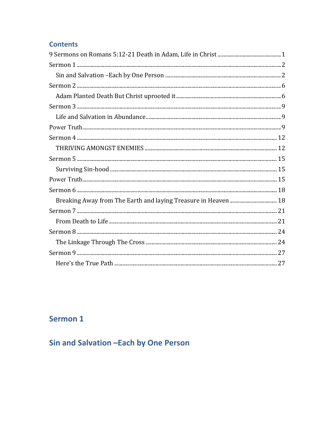### **Contents**

| Breaking Away from The Earth and laying Treasure in Heaven  18 |  |
|----------------------------------------------------------------|--|
|                                                                |  |
|                                                                |  |
|                                                                |  |
|                                                                |  |
|                                                                |  |
|                                                                |  |

## Sermon 1

Sin and Salvation - Each by One Person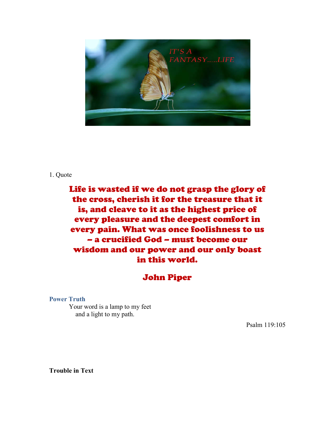

#### 1. Quote

Life is wasted if we do not grasp the glory of the cross, cherish it for the treasure that it is, and cleave to it as the highest price of every pleasure and the deepest comfort in every pain. What was once foolishness to us – a crucified God – must become our wisdom and our power and our only boast in this world.

### John Piper

**Power Truth**

Your word is a lamp to my feet and a light to my path.

Psalm 119:105

**Trouble in Text**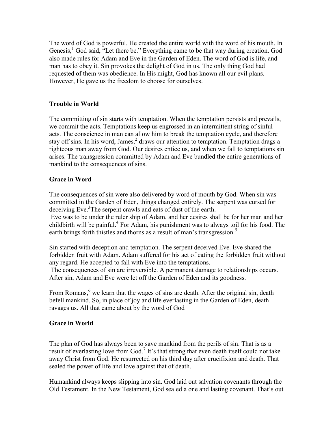The word of God is powerful. He created the entire world with the word of his mouth. In Genesis,<sup>1</sup> God said, "Let there be." Everything came to be that way during creation. God also made rules for Adam and Eve in the Garden of Eden. The word of God is life, and man has to obey it. Sin provokes the delight of God in us. The only thing God had requested of them was obedience. In His might, God has known all our evil plans. However, He gave us the freedom to choose for ourselves.

#### **Trouble in World**

The committing of sin starts with temptation. When the temptation persists and prevails, we commit the acts. Temptations keep us engrossed in an intermittent string of sinful acts. The conscience in man can allow him to break the temptation cycle, and therefore stay off sins. In his word, James,<sup>2</sup> draws our attention to temptation. Temptation drags a righteous man away from God. Our desires entice us, and when we fall to temptations sin arises. The transgression committed by Adam and Eve bundled the entire generations of mankind to the consequences of sins.

#### **Grace in Word**

The consequences of sin were also delivered by word of mouth by God. When sin was committed in the Garden of Eden, things changed entirely. The serpent was cursed for deceiving Eve. 3 The serpent crawls and eats of dust of the earth.

Eve was to be under the ruler ship of Adam, and her desires shall be for her man and her childbirth will be painful. <sup>4</sup> For Adam, his punishment was to always toil for his food. The earth brings forth thistles and thorns as a result of man's transgression.<sup>5</sup>

Sin started with deception and temptation. The serpent deceived Eve. Eve shared the forbidden fruit with Adam. Adam suffered for his act of eating the forbidden fruit without any regard. He accepted to fall with Eve into the temptations.

The consequences of sin are irreversible. A permanent damage to relationships occurs. After sin, Adam and Eve were let off the Garden of Eden and its goodness.

From Romans,<sup>6</sup> we learn that the wages of sins are death. After the original sin, death befell mankind. So, in place of joy and life everlasting in the Garden of Eden, death ravages us. All that came about by the word of God

#### **Grace in World**

The plan of God has always been to save mankind from the perils of sin. That is as a result of everlasting love from God.<sup>7</sup> It's that strong that even death itself could not take away Christ from God. He resurrected on his third day after crucifixion and death. That sealed the power of life and love against that of death.

Humankind always keeps slipping into sin. God laid out salvation covenants through the Old Testament. In the New Testament, God sealed a one and lasting covenant. That's out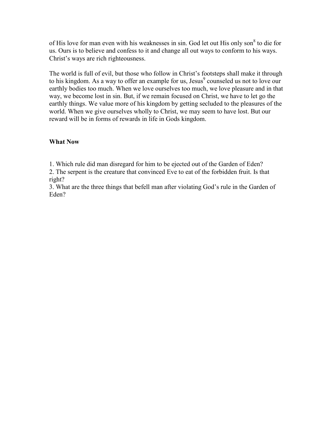of His love for man even with his weaknesses in sin. God let out His only son<sup>8</sup> to die for us. Ours is to believe and confess to it and change all out ways to conform to his ways. Christ's ways are rich righteousness.

The world is full of evil, but those who follow in Christ's footsteps shall make it through to his kingdom. As a way to offer an example for us, Jesus $\degree$  counseled us not to love our earthly bodies too much. When we love ourselves too much, we love pleasure and in that way, we become lost in sin. But, if we remain focused on Christ, we have to let go the earthly things. We value more of his kingdom by getting secluded to the pleasures of the world. When we give ourselves wholly to Christ, we may seem to have lost. But our reward will be in forms of rewards in life in Gods kingdom.

#### **What Now**

1. Which rule did man disregard for him to be ejected out of the Garden of Eden?

2. The serpent is the creature that convinced Eve to eat of the forbidden fruit. Is that right?

3. What are the three things that befell man after violating God's rule in the Garden of Eden?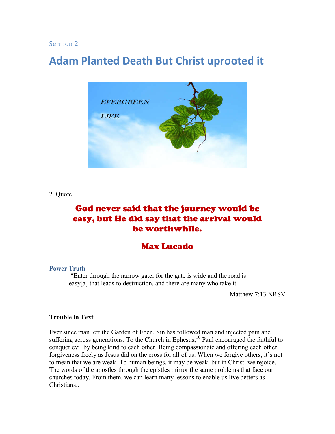## **Adam Planted Death But Christ uprooted it**



2. Quote

### God never said that the journey would be easy, but He did say that the arrival would be worthwhile.

### Max Lucado

#### **Power Truth**

"Enter through the narrow gate; for the gate is wide and the road is easy[a] that leads to destruction, and there are many who take it.

Matthew 7:13 NRSV

#### **Trouble in Text**

Ever since man left the Garden of Eden, Sin has followed man and injected pain and suffering across generations. To the Church in Ephesus,<sup>10</sup> Paul encouraged the faithful to conquer evil by being kind to each other. Being compassionate and offering each other forgiveness freely as Jesus did on the cross for all of us. When we forgive others, it's not to mean that we are weak. To human beings, it may be weak, but in Christ, we rejoice. The words of the apostles through the epistles mirror the same problems that face our churches today. From them, we can learn many lessons to enable us live betters as **Christians**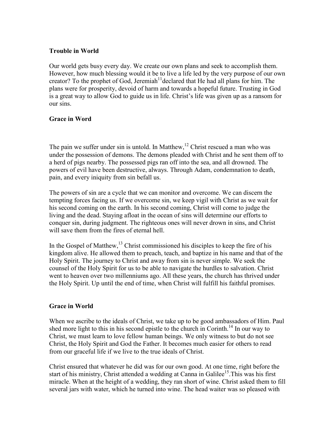#### **Trouble in World**

Our world gets busy every day. We create our own plans and seek to accomplish them. However, how much blessing would it be to live a life led by the very purpose of our own creator? To the prophet of God, Jeremiah<sup>11</sup> declared that He had all plans for him. The plans were for prosperity, devoid of harm and towards a hopeful future. Trusting in God is a great way to allow God to guide us in life. Christ's life was given up as a ransom for our sins.

#### **Grace in Word**

The pain we suffer under sin is untold. In Matthew,  $12$  Christ rescued a man who was under the possession of demons. The demons pleaded with Christ and he sent them off to a herd of pigs nearby. The possessed pigs ran off into the sea, and all drowned. The powers of evil have been destructive, always. Through Adam, condemnation to death, pain, and every iniquity from sin befall us.

The powers of sin are a cycle that we can monitor and overcome. We can discern the tempting forces facing us. If we overcome sin, we keep vigil with Christ as we wait for his second coming on the earth. In his second coming, Christ will come to judge the living and the dead. Staying afloat in the ocean of sins will determine our efforts to conquer sin, during judgment. The righteous ones will never drown in sins, and Christ will save them from the fires of eternal hell.

In the Gospel of Matthew,<sup>13</sup> Christ commissioned his disciples to keep the fire of his kingdom alive. He allowed them to preach, teach, and baptize in his name and that of the Holy Spirit. The journey to Christ and away from sin is never simple. We seek the counsel of the Holy Spirit for us to be able to navigate the hurdles to salvation. Christ went to heaven over two millenniums ago. All these years, the church has thrived under the Holy Spirit. Up until the end of time, when Christ will fulfill his faithful promises.

#### **Grace in World**

When we ascribe to the ideals of Christ, we take up to be good ambassadors of Him. Paul shed more light to this in his second epistle to the church in Corinth.<sup>14</sup> In our way to Christ, we must learn to love fellow human beings. We only witness to but do not see Christ, the Holy Spirit and God the Father. It becomes much easier for others to read from our graceful life if we live to the true ideals of Christ.

Christ ensured that whatever he did was for our own good. At one time, right before the start of his ministry, Christ attended a wedding at Canna in Galilee<sup>15</sup>. This was his first miracle. When at the height of a wedding, they ran short of wine. Christ asked them to fill several jars with water, which he turned into wine. The head waiter was so pleased with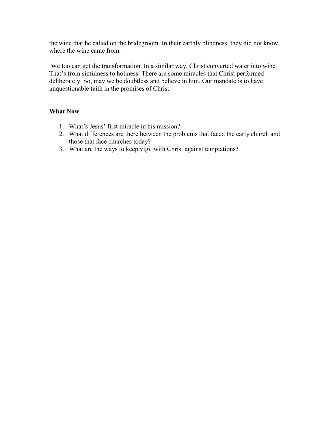the wine that he called on the bridegroom. In their earthly blindness, they did not know where the wine came from.

We too can get the transformation. In a similar way, Christ converted water into wine. That's from sinfulness to holiness. There are some miracles that Christ performed deliberately. So, may we be doubtless and believe in him. Our mandate is to have unquestionable faith in the promises of Christ.

- 1. What's Jesus' first miracle in his mission?
- 2. What differences are there between the problems that faced the early church and those that face churches today?
- 3. What are the ways to keep vigil with Christ against temptations?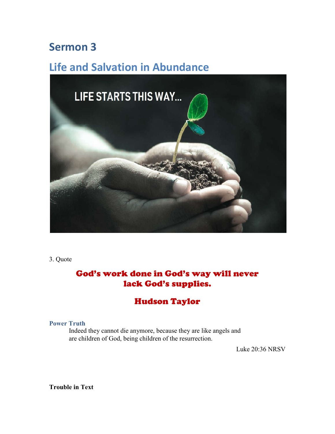## **Life and Salvation in Abundance**



3. Quote

### God's work done in God's way will never lack God's supplies.

### Hudson Taylor

#### **Power Truth**

Indeed they cannot die anymore, because they are like angels and are children of God, being children of the resurrection.

Luke 20:36 NRSV

**Trouble in Text**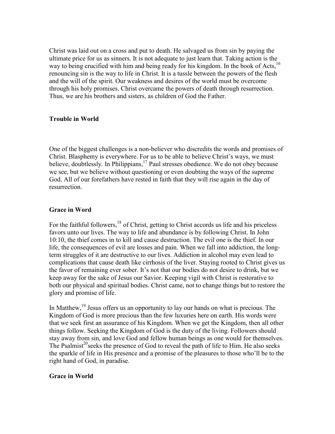Christ was laid out on a cross and put to death. He salvaged us from sin by paying the ultimate price for us as sinners. It is not adequate to just learn that. Taking action is the way to being crucified with him and being ready for his kingdom. In the book of Acts, <sup>16</sup> renouncing sin is the way to life in Christ. It is a tussle between the powers of the flesh and the will of the spirit. Our weakness and desires of the world must be overcome through his holy promises. Christ overcame the powers of death through resurrection. Thus, we are his brothers and sisters, as children of God the Father.

#### **Trouble in World**

One of the biggest challenges is a non-believer who discredits the words and promises of Christ. Blasphemy is everywhere. For us to be able to believe Christ's ways, we must believe, doubtlessly. In Philippians,<sup>17</sup> Paul stresses obedience. We do not obey because we see, but we believe without questioning or even doubting the ways of the supreme God. All of our forefathers have rested in faith that they will rise again in the day of resurrection.

#### **Grace in Word**

For the faithful followers,<sup>18</sup> of Christ, getting to Christ accords us life and his priceless favors unto our lives. The way to life and abundance is by following Christ. In John 10:10, the thief comes in to kill and cause destruction. The evil one is the thief. In our life, the consequences of evil are losses and pain. When we fall into addiction, the longterm struggles of it are destructive to our lives. Addiction in alcohol may even lead to complications that cause death like cirrhosis of the liver. Staying rooted to Christ gives us the favor of remaining ever sober. It's not that our bodies do not desire to drink, but we keep away for the sake of Jesus our Savior. Keeping vigil with Christ is restorative to both our physical and spiritual bodies. Christ came, not to change things but to restore the glory and promise of life.

In Matthew,<sup>19</sup> Jesus offers us an opportunity to lay our hands on what is precious. The Kingdom of God is more precious than the few luxuries here on earth. His words were that we seek first an assurance of his Kingdom. When we get the Kingdom, then all other things follow. Seeking the Kingdom of God is the duty of the living. Followers should stay away from sin, and love God and fellow human beings as one would for themselves. The Psalmist<sup>20</sup>seeks the presence of God to reveal the path of life to Him. He also seeks the sparkle of life in His presence and a promise of the pleasures to those who'll be to the right hand of God, in paradise.

#### **Grace in World**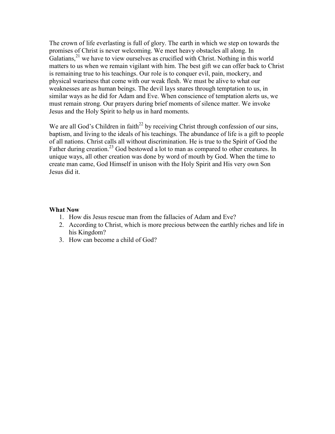The crown of life everlasting is full of glory. The earth in which we step on towards the promises of Christ is never welcoming. We meet heavy obstacles all along. In Galatians,<sup>21</sup> we have to view ourselves as crucified with Christ. Nothing in this world matters to us when we remain vigilant with him. The best gift we can offer back to Christ is remaining true to his teachings. Our role is to conquer evil, pain, mockery, and physical weariness that come with our weak flesh. We must be alive to what our weaknesses are as human beings. The devil lays snares through temptation to us, in similar ways as he did for Adam and Eve. When conscience of temptation alerts us, we must remain strong. Our prayers during brief moments of silence matter. We invoke Jesus and the Holy Spirit to help us in hard moments.

We are all God's Children in faith<sup>22</sup> by receiving Christ through confession of our sins, baptism, and living to the ideals of his teachings. The abundance of life is a gift to people of all nations. Christ calls all without discrimination. He is true to the Spirit of God the Father during creation.<sup>23</sup> God bestowed a lot to man as compared to other creatures. In unique ways, all other creation was done by word of mouth by God. When the time to create man came, God Himself in unison with the Holy Spirit and His very own Son Jesus did it.

- 1. How dis Jesus rescue man from the fallacies of Adam and Eve?
- 2. According to Christ, which is more precious between the earthly riches and life in his Kingdom?
- 3. How can become a child of God?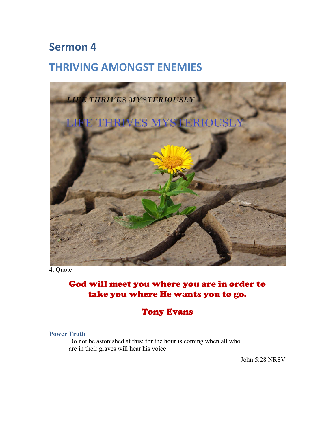## **THRIVING AMONGST ENEMIES**



4. Quote

### God will meet you where you are in order to take you where He wants you to go.

### Tony Evans

#### **Power Truth**

Do not be astonished at this; for the hour is coming when all who are in their graves will hear his voice

John 5:28 NRSV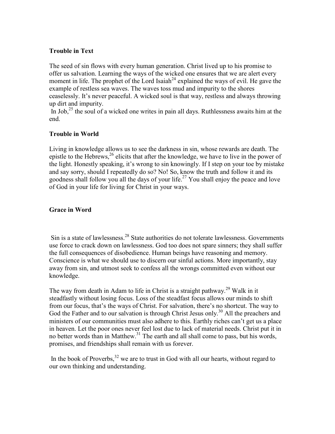#### **Trouble in Text**

The seed of sin flows with every human generation. Christ lived up to his promise to offer us salvation. Learning the ways of the wicked one ensures that we are alert every moment in life. The prophet of the Lord Isaiah<sup>24</sup> explained the ways of evil. He gave the example of restless sea waves. The waves toss mud and impurity to the shores ceaselessly. It's never peaceful. A wicked soul is that way, restless and always throwing up dirt and impurity.

In Job,<sup>25</sup> the soul of a wicked one writes in pain all days. Ruthlessness awaits him at the end.

#### **Trouble in World**

Living in knowledge allows us to see the darkness in sin, whose rewards are death. The epistle to the Hebrews,<sup>26</sup> elicits that after the knowledge, we have to live in the power of the light. Honestly speaking, it's wrong to sin knowingly. If I step on your toe by mistake and say sorry, should I repeatedly do so? No! So, know the truth and follow it and its goodness shall follow you all the days of your life. <sup>27</sup> You shall enjoy the peace and love of God in your life for living for Christ in your ways.

#### **Grace in Word**

Sin is a state of lawlessness.<sup>28</sup> State authorities do not tolerate lawlessness. Governments use force to crack down on lawlessness. God too does not spare sinners; they shall suffer the full consequences of disobedience. Human beings have reasoning and memory. Conscience is what we should use to discern our sinful actions. More importantly, stay away from sin, and utmost seek to confess all the wrongs committed even without our knowledge.

The way from death in Adam to life in Christ is a straight pathway.<sup>29</sup> Walk in it steadfastly without losing focus. Loss of the steadfast focus allows our minds to shift from our focus, that's the ways of Christ. For salvation, there's no shortcut. The way to God the Father and to our salvation is through Christ Jesus only.<sup>30</sup> All the preachers and ministers of our communities must also adhere to this. Earthly riches can't get us a place in heaven. Let the poor ones never feel lost due to lack of material needs. Christ put it in no better words than in Matthew.<sup>31</sup> The earth and all shall come to pass, but his words, promises, and friendships shall remain with us forever.

In the book of Proverbs,  $32$  we are to trust in God with all our hearts, without regard to our own thinking and understanding.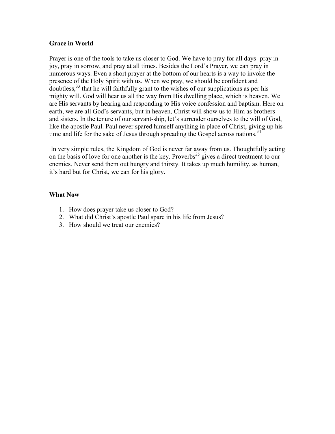#### **Grace in World**

Prayer is one of the tools to take us closer to God. We have to pray for all days- pray in joy, pray in sorrow, and pray at all times. Besides the Lord's Prayer, we can pray in numerous ways. Even a short prayer at the bottom of our hearts is a way to invoke the presence of the Holy Spirit with us. When we pray, we should be confident and doubtless, <sup>33</sup> that he will faithfully grant to the wishes of our supplications as per his mighty will. God will hear us all the way from His dwelling place, which is heaven. We are His servants by hearing and responding to His voice confession and baptism. Here on earth, we are all God's servants, but in heaven, Christ will show us to Him as brothers and sisters. In the tenure of our servant-ship, let's surrender ourselves to the will of God, like the apostle Paul. Paul never spared himself anything in place of Christ, giving up his time and life for the sake of Jesus through spreading the Gospel across nations.<sup>34</sup>

In very simple rules, the Kingdom of God is never far away from us. Thoughtfully acting on the basis of love for one another is the key. Proverbs<sup>35</sup> gives a direct treatment to our enemies. Never send them out hungry and thirsty. It takes up much humility, as human, it's hard but for Christ, we can for his glory.

- 1. How does prayer take us closer to God?
- 2. What did Christ's apostle Paul spare in his life from Jesus?
- 3. How should we treat our enemies?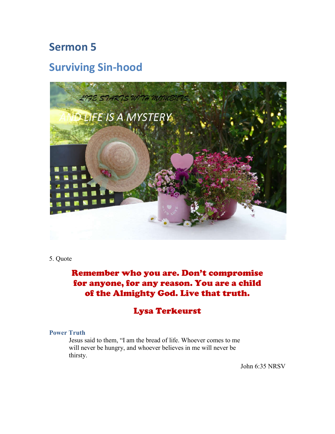## **Surviving Sin-hood**



#### 5. Quote

### Remember who you are. Don't compromise for anyone, for any reason. You are a child of the Almighty God. Live that truth.

### Lysa Terkeurst

#### **Power Truth**

Jesus said to them, "I am the bread of life. Whoever comes to me will never be hungry, and whoever believes in me will never be thirsty.

John 6:35 NRSV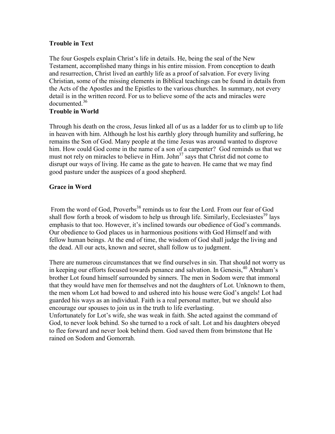#### **Trouble in Text**

The four Gospels explain Christ's life in details. He, being the seal of the New Testament, accomplished many things in his entire mission. From conception to death and resurrection, Christ lived an earthly life as a proof of salvation. For every living Christian, some of the missing elements in Biblical teachings can be found in details from the Acts of the Apostles and the Epistles to the various churches. In summary, not every detail is in the written record. For us to believe some of the acts and miracles were documented. 36

#### **Trouble in World**

Through his death on the cross, Jesus linked all of us as a ladder for us to climb up to life in heaven with him. Although he lost his earthly glory through humility and suffering, he remains the Son of God. Many people at the time Jesus was around wanted to disprove him. How could God come in the name of a son of a carpenter? God reminds us that we must not rely on miracles to believe in Him. John $37$  says that Christ did not come to disrupt our ways of living. He came as the gate to heaven. He came that we may find good pasture under the auspices of a good shepherd.

#### **Grace in Word**

From the word of God, Proverbs<sup>38</sup> reminds us to fear the Lord. From our fear of God shall flow forth a brook of wisdom to help us through life. Similarly, Ecclesiastes<sup>39</sup> lays emphasis to that too. However, it's inclined towards our obedience of God's commands. Our obedience to God places us in harmonious positions with God Himself and with fellow human beings. At the end of time, the wisdom of God shall judge the living and the dead. All our acts, known and secret, shall follow us to judgment.

There are numerous circumstances that we find ourselves in sin. That should not worry us in keeping our efforts focused towards penance and salvation. In Genesis, <sup>40</sup> Abraham's brother Lot found himself surrounded by sinners. The men in Sodom were that immoral that they would have men for themselves and not the daughters of Lot. Unknown to them, the men whom Lot had bowed to and ushered into his house were God's angels! Lot had guarded his ways as an individual. Faith is a real personal matter, but we should also encourage our spouses to join us in the truth to life everlasting.

Unfortunately for Lot's wife, she was weak in faith. She acted against the command of God, to never look behind. So she turned to a rock of salt. Lot and his daughters obeyed to flee forward and never look behind them. God saved them from brimstone that He rained on Sodom and Gomorrah.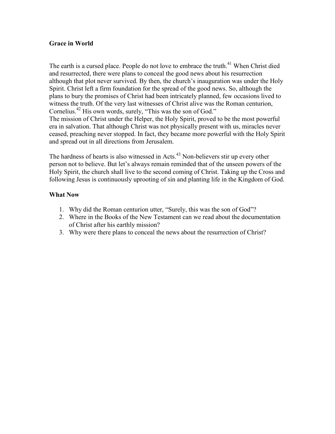#### **Grace in World**

The earth is a cursed place. People do not love to embrace the truth.<sup>41</sup> When Christ died and resurrected, there were plans to conceal the good news about his resurrection although that plot never survived. By then, the church's inauguration was under the Holy Spirit. Christ left a firm foundation for the spread of the good news. So, although the plans to bury the promises of Christ had been intricately planned, few occasions lived to witness the truth. Of the very last witnesses of Christ alive was the Roman centurion, Cornelius.<sup>42</sup> His own words, surely, "This was the son of God." The mission of Christ under the Helper, the Holy Spirit, proved to be the most powerful era in salvation. That although Christ was not physically present with us, miracles never ceased, preaching never stopped. In fact, they became more powerful with the Holy Spirit and spread out in all directions from Jerusalem.

The hardness of hearts is also witnessed in Acts.<sup>43</sup> Non-believers stir up every other person not to believe. But let's always remain reminded that of the unseen powers of the Holy Spirit, the church shall live to the second coming of Christ. Taking up the Cross and following Jesus is continuously uprooting of sin and planting life in the Kingdom of God.

- 1. Why did the Roman centurion utter, "Surely, this was the son of God"?
- 2. Where in the Books of the New Testament can we read about the documentation of Christ after his earthly mission?
- 3. Why were there plans to conceal the news about the resurrection of Christ?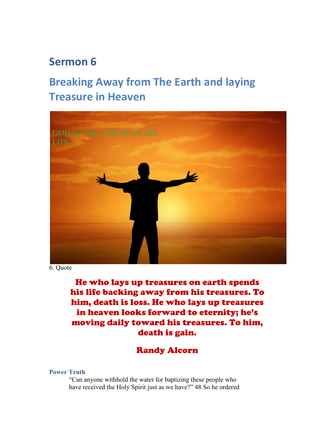## **Breaking Away from The Earth and laying Treasure in Heaven**



6. Quote

He who lays up treasures on earth spends his life backing away from his treasures. To him, death is loss. He who lays up treasures in heaven looks forward to eternity; he's moving daily toward his treasures. To him, death is gain.

### Randy Alcorn

#### **Power Truth**

"Can anyone withhold the water for baptizing these people who have received the Holy Spirit just as we have?" 48 So he ordered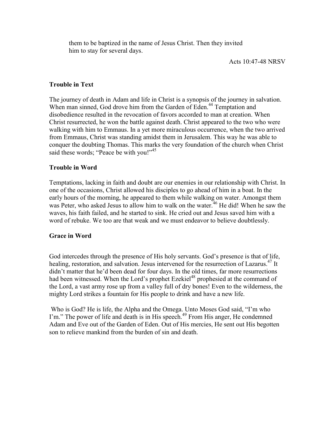them to be baptized in the name of Jesus Christ. Then they invited him to stay for several days.

#### **Trouble in Text**

The journey of death in Adam and life in Christ is a synopsis of the journey in salvation. When man sinned, God drove him from the Garden of Eden.<sup>44</sup> Temptation and disobedience resulted in the revocation of favors accorded to man at creation. When Christ resurrected, he won the battle against death. Christ appeared to the two who were walking with him to Emmaus. In a yet more miraculous occurrence, when the two arrived from Emmaus, Christ was standing amidst them in Jerusalem. This way he was able to conquer the doubting Thomas. This marks the very foundation of the church when Christ said these words; "Peace be with you!"<sup>45</sup>

#### **Trouble in Word**

Temptations, lacking in faith and doubt are our enemies in our relationship with Christ. In one of the occasions, Christ allowed his disciples to go ahead of him in a boat. In the early hours of the morning, he appeared to them while walking on water. Amongst them was Peter, who asked Jesus to allow him to walk on the water.<sup>46</sup> He did! When he saw the waves, his faith failed, and he started to sink. He cried out and Jesus saved him with a word of rebuke. We too are that weak and we must endeavor to believe doubtlessly.

#### **Grace in Word**

God intercedes through the presence of His holy servants. God's presence is that of life, healing, restoration, and salvation. Jesus intervened for the resurrection of Lazarus.<sup>47</sup> It didn't matter that he'd been dead for four days. In the old times, far more resurrections had been witnessed. When the Lord's prophet Ezekiel<sup>48</sup> prophesied at the command of the Lord, a vast army rose up from a valley full of dry bones! Even to the wilderness, the mighty Lord strikes a fountain for His people to drink and have a new life.

Who is God? He is life, the Alpha and the Omega. Unto Moses God said, "I'm who I'm." The power of life and death is in His speech.<sup>49</sup> From His anger, He condemned Adam and Eve out of the Garden of Eden. Out of His mercies, He sent out His begotten son to relieve mankind from the burden of sin and death.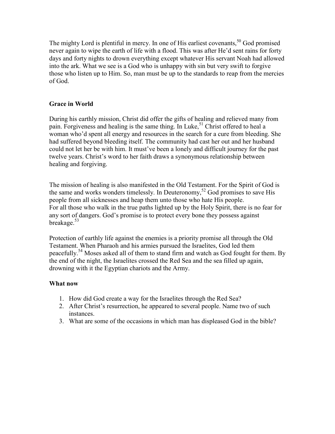The mighty Lord is plentiful in mercy. In one of His earliest covenants,<sup>50</sup> God promised never again to wipe the earth of life with a flood. This was after He'd sent rains for forty days and forty nights to drown everything except whatever His servant Noah had allowed into the ark. What we see is a God who is unhappy with sin but very swift to forgive those who listen up to Him. So, man must be up to the standards to reap from the mercies of God.

#### **Grace in World**

During his earthly mission, Christ did offer the gifts of healing and relieved many from pain. Forgiveness and healing is the same thing. In Luke,<sup>51</sup> Christ offered to heal a woman who'd spent all energy and resources in the search for a cure from bleeding. She had suffered beyond bleeding itself. The community had cast her out and her husband could not let her be with him. It must've been a lonely and difficult journey for the past twelve years. Christ's word to her faith draws a synonymous relationship between healing and forgiving.

The mission of healing is also manifested in the Old Testament. For the Spirit of God is the same and works wonders timelessly. In Deuteronomy,<sup>52</sup> God promises to save His people from all sicknesses and heap them unto those who hate His people. For all those who walk in the true paths lighted up by the Holy Spirit, there is no fear for any sort of dangers. God's promise is to protect every bone they possess against breakage.<sup>53</sup>

Protection of earthly life against the enemies is a priority promise all through the Old Testament. When Pharaoh and his armies pursued the Israelites, God led them peacefully.<sup>54</sup> Moses asked all of them to stand firm and watch as God fought for them. By the end of the night, the Israelites crossed the Red Sea and the sea filled up again, drowning with it the Egyptian chariots and the Army.

#### **What now**

- 1. How did God create a way for the Israelites through the Red Sea?
- 2. After Christ's resurrection, he appeared to several people. Name two of such instances.
- 3. What are some of the occasions in which man has displeased God in the bible?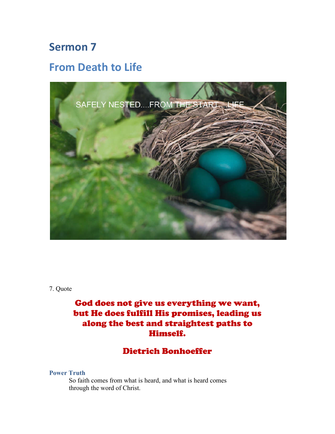## **From Death to Life**



7. Quote

## God does not give us everything we want, but He does fulfill His promises, leading us along the best and straightest paths to Himself.

### Dietrich Bonhoeffer

#### **Power Truth**

So faith comes from what is heard, and what is heard comes through the word of Christ.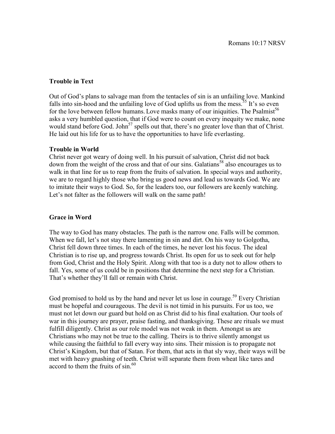#### **Trouble in Text**

Out of God's plans to salvage man from the tentacles of sin is an unfailing love. Mankind falls into sin-hood and the unfailing love of God uplifts us from the mess.<sup>35</sup> It's so even for the love between fellow humans. Love masks many of our iniquities. The Psalmist<sup>56</sup> asks a very humbled question, that if God were to count on every inequity we make, none would stand before God. John<sup>57</sup> spells out that, there's no greater love than that of Christ. He laid out his life for us to have the opportunities to have life everlasting.

#### **Trouble in World**

Christ never got weary of doing well. In his pursuit of salvation, Christ did not back down from the weight of the cross and that of our sins. Galatians<sup>58</sup> also encourages us to walk in that line for us to reap from the fruits of salvation. In special ways and authority, we are to regard highly those who bring us good news and lead us towards God. We are to imitate their ways to God. So, for the leaders too, our followers are keenly watching. Let's not falter as the followers will walk on the same path!

#### **Grace in Word**

The way to God has many obstacles. The path is the narrow one. Falls will be common. When we fall, let's not stay there lamenting in sin and dirt. On his way to Golgotha, Christ fell down three times. In each of the times, he never lost his focus. The ideal Christian is to rise up, and progress towards Christ. Its open for us to seek out for help from God, Christ and the Holy Spirit. Along with that too is a duty not to allow others to fall. Yes, some of us could be in positions that determine the next step for a Christian. That's whether they'll fall or remain with Christ.

God promised to hold us by the hand and never let us lose in courage.<sup>59</sup> Every Christian must be hopeful and courageous. The devil is not timid in his pursuits. For us too, we must not let down our guard but hold on as Christ did to his final exaltation. Our tools of war in this journey are prayer, praise fasting, and thanksgiving. These are rituals we must fulfill diligently. Christ as our role model was not weak in them. Amongst us are Christians who may not be true to the calling. Theirs is to thrive silently amongst us while causing the faithful to fall every way into sins. Their mission is to propagate not Christ's Kingdom, but that of Satan. For them, that acts in that sly way, their ways will be met with heavy gnashing of teeth. Christ will separate them from wheat like tares and accord to them the fruits of sin. 60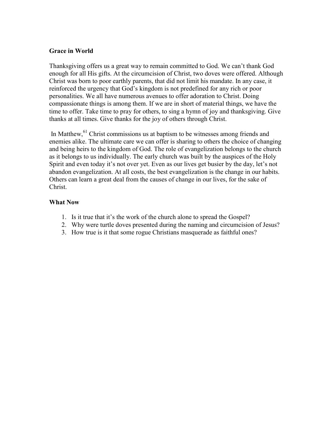#### **Grace in World**

Thanksgiving offers us a great way to remain committed to God. We can't thank God enough for all His gifts. At the circumcision of Christ, two doves were offered. Although Christ was born to poor earthly parents, that did not limit his mandate. In any case, it reinforced the urgency that God's kingdom is not predefined for any rich or poor personalities. We all have numerous avenues to offer adoration to Christ. Doing compassionate things is among them. If we are in short of material things, we have the time to offer. Take time to pray for others, to sing a hymn of joy and thanksgiving. Give thanks at all times. Give thanks for the joy of others through Christ.

In Matthew, <sup>61</sup> Christ commissions us at baptism to be witnesses among friends and enemies alike. The ultimate care we can offer is sharing to others the choice of changing and being heirs to the kingdom of God. The role of evangelization belongs to the church as it belongs to us individually. The early church was built by the auspices of the Holy Spirit and even today it's not over yet. Even as our lives get busier by the day, let's not abandon evangelization. At all costs, the best evangelization is the change in our habits. Others can learn a great deal from the causes of change in our lives, for the sake of Christ.

- 1. Is it true that it's the work of the church alone to spread the Gospel?
- 2. Why were turtle doves presented during the naming and circumcision of Jesus?
- 3. How true is it that some rogue Christians masquerade as faithful ones?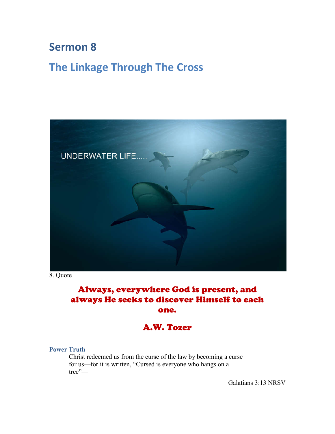## **The Linkage Through The Cross**



8. Quote

## Always, everywhere God is present, and always He seeks to discover Himself to each one.

## A.W. Tozer

#### **Power Truth**

Christ redeemed us from the curse of the law by becoming a curse for us—for it is written, "Cursed is everyone who hangs on a tree"—

Galatians 3:13 NRSV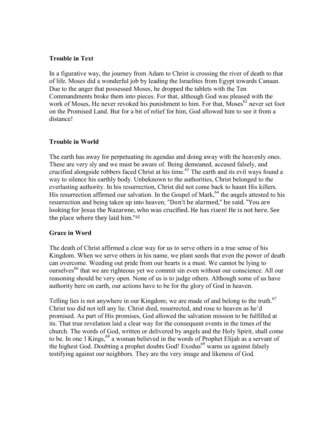#### **Trouble in Text**

In a figurative way, the journey from Adam to Christ is crossing the river of death to that of life. Moses did a wonderful job by leading the Israelites from Egypt towards Canaan. Due to the anger that possessed Moses, he dropped the tablets with the Ten Commandments broke them into pieces. For that, although God was pleased with the work of Moses, He never revoked his punishment to him. For that, Moses<sup>62</sup> never set foot on the Promised Land. But for a bit of relief for him, God allowed him to see it from a distance!

#### **Trouble in World**

The earth has away for perpetuating its agendas and doing away with the heavenly ones. These are very sly and we must be aware of. Being demeaned, accused falsely, and crucified alongside robbers faced Christ at his time. <sup>63</sup> The earth and its evil ways found a way to silence his earthly body. Unbeknown to the authorities, Christ belonged to the everlasting authority. In his resurrection, Christ did not come back to haunt His killers. His resurrection affirmed our salvation. In the Gospel of Mark,<sup>64</sup> the angels attested to his resurrection and being taken up into heaven; "Don't be alarmed," he said. "You are looking for Jesus the Nazarene, who was crucified. He has risen! He is not here. See the place where they laid him."65

#### **Grace in Word**

The death of Christ affirmed a clear way for us to serve others in a true sense of his Kingdom. When we serve others in his name, we plant seeds that even the power of death can overcome. Weeding out pride from our hearts is a must. We cannot be lying to ourselves<sup>66</sup> that we are righteous yet we commit sin even without our conscience. All our reasoning should be very open. None of us is to judge others. Although some of us have authority here on earth, our actions have to be for the glory of God in heaven.

Telling lies is not anywhere in our Kingdom; we are made of and belong to the truth.<sup>67</sup> Christ too did not tell any lie. Christ died, resurrected, and rose to heaven as he'd promised. As part of His promises, God allowed the salvation mission to be fulfilled at its. That true revelation laid a clear way for the consequent events in the times of the church. The words of God, written or delivered by angels and the Holy Spirit, shall come to be. In one 1 Kings, <sup>68</sup> a woman believed in the words of Prophet Elijah as a servant of the highest God. Doubting a prophet doubts God! Exodus<sup>69</sup> warns us against falsely testifying against our neighbors. They are the very image and likeness of God.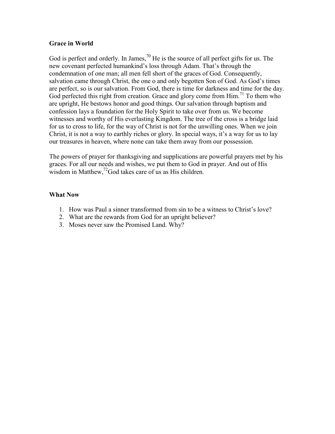#### **Grace in World**

God is perfect and orderly. In James,  $\frac{70}{10}$  He is the source of all perfect gifts for us. The new covenant perfected humankind's loss through Adam. That's through the condemnation of one man; all men fell short of the graces of God. Consequently, salvation came through Christ, the one o and only begotten Son of God. As God's times are perfect, so is our salvation. From God, there is time for darkness and time for the day. God perfected this right from creation. Grace and glory come from Him.<sup>71</sup> To them who are upright, He bestows honor and good things. Our salvation through baptism and confession lays a foundation for the Holy Spirit to take over from us. We become witnesses and worthy of His everlasting Kingdom. The tree of the cross is a bridge laid for us to cross to life, for the way of Christ is not for the unwilling ones. When we join Christ, it is not a way to earthly riches or glory. In special ways, it's a way for us to lay our treasures in heaven, where none can take them away from our possession.

The powers of prayer for thanksgiving and supplications are powerful prayers met by his graces. For all our needs and wishes, we put them to God in prayer. And out of His wisdom in Matthew,<sup>72</sup>God takes care of us as His children.

- 1. How was Paul a sinner transformed from sin to be a witness to Christ's love?
- 2. What are the rewards from God for an upright believer?
- 3. Moses never saw the Promised Land. Why?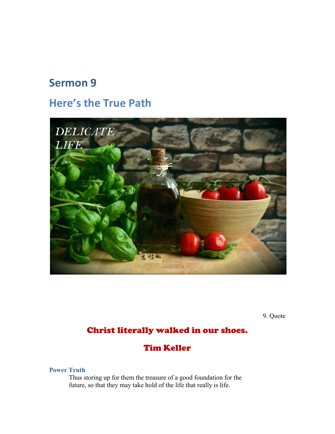## **Here's the True Path**



9. Quote

## Christ literally walked in our shoes.

### Tim Keller

**Power Truth**

Thus storing up for them the treasure of a good foundation for the future, so that they may take hold of the life that really is life.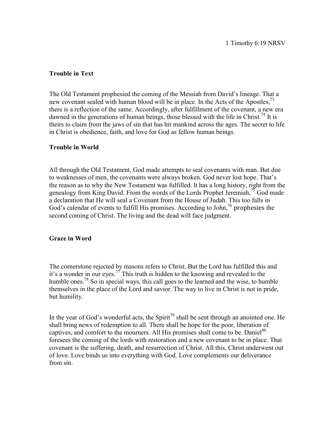#### **Trouble in Text**

The Old Testament prophesied the coming of the Messiah from David's lineage. That a new covenant sealed with human blood will be in place. In the Acts of the Apostles,<sup>73</sup> there is a reflection of the same. Accordingly, after fulfillment of the covenant, a new era dawned in the generations of human beings, those blessed with the life in Christ.<sup>74</sup> It is theirs to claim from the jaws of sin that has hit mankind across the ages. The secret to life in Christ is obedience, faith, and love for God as fellow human beings.

#### **Trouble in World**

All through the Old Testament, God made attempts to seal covenants with man. But due to weaknesses of men, the covenants were always broken. God never lost hope. That's the reason as to why the New Testament was fulfilled. It has a long history, right from the genealogy from King David. From the words of the Lords Prophet Jeremiah,  $75$  God made a declaration that He will seal a Covenant from the House of Judah. This too falls in God's calendar of events to fulfill His promises. According to John,<sup>76</sup> prophesies the second coming of Christ. The living and the dead will face judgment.

#### **Grace in Word**

The cornerstone rejected by masons refers to Christ. But the Lord has fulfilled this and it's a wonder in our eyes.<sup>77</sup> This truth is hidden to the knowing and revealed to the humble ones.<sup>78</sup> So in special ways, this call goes to the learned and the wise, to humble themselves in the place of the Lord and savior. The way to live in Christ is not in pride, but humility.

In the year of God's wonderful acts, the Spirit<sup>79</sup> shall be sent through an anointed one. He shall bring news of redemption to all. There shall be hope for the poor, liberation of captives, and comfort to the mourners. All His promises shall come to be. Daniel<sup>80</sup> foresees the coming of the lords with restoration and a new covenant to be in place. That covenant is the suffering, death, and resurrection of Christ. All this, Christ underwent out of love. Love binds us into everything with God. Love complements our deliverance from sin.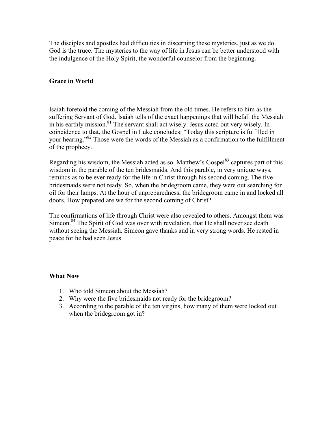The disciples and apostles had difficulties in discerning these mysteries, just as we do. God is the truce. The mysteries to the way of life in Jesus can be better understood with the indulgence of the Holy Spirit, the wonderful counselor from the beginning.

#### **Grace in World**

Isaiah foretold the coming of the Messiah from the old times. He refers to him as the suffering Servant of God. Isaiah tells of the exact happenings that will befall the Messiah in his earthly mission. <sup>81</sup> The servant shall act wisely. Jesus acted out very wisely. In coincidence to that, the Gospel in Luke concludes: "Today this scripture is fulfilled in your hearing."<sup>82</sup> Those were the words of the Messiah as a confirmation to the fulfillment of the prophecy.

Regarding his wisdom, the Messiah acted as so. Matthew's Gospel<sup>83</sup> captures part of this wisdom in the parable of the ten bridesmaids. And this parable, in very unique ways, reminds as to be ever ready for the life in Christ through his second coming. The five bridesmaids were not ready. So, when the bridegroom came, they were out searching for oil for their lamps. At the hour of unpreparedness, the bridegroom came in and locked all doors. How prepared are we for the second coming of Christ?

The confirmations of life through Christ were also revealed to others. Amongst them was Simeon.<sup>84</sup> The Spirit of God was over with revelation, that He shall never see death without seeing the Messiah. Simeon gave thanks and in very strong words. He rested in peace for he had seen Jesus.

- 1. Who told Simeon about the Messiah?
- 2. Why were the five bridesmaids not ready for the bridegroom?
- 3. According to the parable of the ten virgins, how many of them were locked out when the bridegroom got in?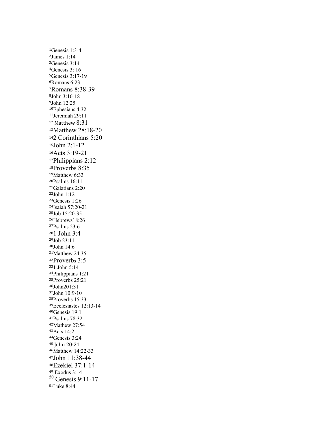Genesis 1:3-4 James 1:14 Genesis 3:14 Genesis 3: 16 Genesis 3:17-19 Romans 6:23 Romans 8:38-39 John 3:16-18 John 12:25 Ephesians 4:32 Jeremiah 29:11 Matthew 8:31 Matthew 28:18-20 2 Corinthians 5:20 John 2:1-12 Acts 3:19-21 Philippians 2:12 Proverbs 8:35 Matthew 6:33 Psalms 16:11 Galatians 2:20 John 1:12 Genesis 1:26 Isaiah 57:20-21 Job 15:20-35 Hebrews18:26 Psalms 23:6 1 John 3:4 Job 23:11 John 14:6 Matthew 24:35 Proverbs 3:5 1 John 5:14 Philippians 1:21 Proverbs 25:21 John201:31 John 10:9-10 Proverbs 15:33 Ecclesiastes 12:13-14 Genesis 19:1 Psalms 78:32 Mathew 27:54 Acts 14:2 Genesis 3:24 John 20:21 Matthew 14:22-33 John 11:38-44 Ezekiel 37:1-14 Exodus 3:14 Genesis 9:11-17 Luke 8:44